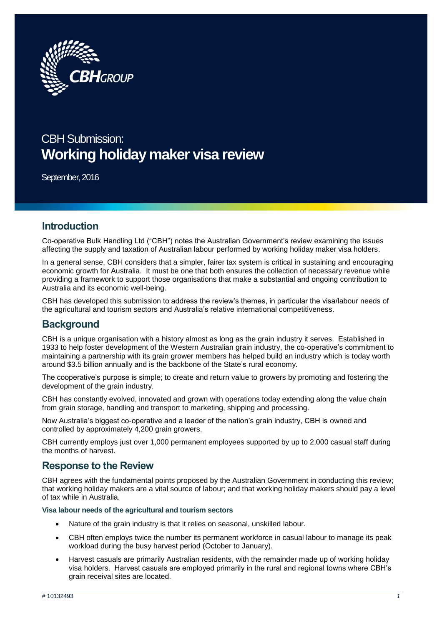

# CBH Submission: **Working holiday maker visa review**

September, 2016

## **Introduction**

Co-operative Bulk Handling Ltd ("CBH") notes the Australian Government's review examining the issues affecting the supply and taxation of Australian labour performed by working holiday maker visa holders.

In a general sense, CBH considers that a simpler, fairer tax system is critical in sustaining and encouraging economic growth for Australia. It must be one that both ensures the collection of necessary revenue while providing a framework to support those organisations that make a substantial and ongoing contribution to Australia and its economic well-being.

CBH has developed this submission to address the review's themes, in particular the visa/labour needs of the agricultural and tourism sectors and Australia's relative international competitiveness.

## **Background**

CBH is a unique organisation with a history almost as long as the grain industry it serves. Established in 1933 to help foster development of the Western Australian grain industry, the co-operative's commitment to maintaining a partnership with its grain grower members has helped build an industry which is today worth around \$3.5 billion annually and is the backbone of the State's rural economy.

The cooperative's purpose is simple; to create and return value to growers by promoting and fostering the development of the grain industry.

CBH has constantly evolved, innovated and grown with operations today extending along the value chain from grain storage, handling and transport to marketing, shipping and processing.

Now Australia's biggest co-operative and a leader of the nation's grain industry, CBH is owned and controlled by approximately 4,200 grain growers.

CBH currently employs just over 1,000 permanent employees supported by up to 2,000 casual staff during the months of harvest.

## **Response to the Review**

CBH agrees with the fundamental points proposed by the Australian Government in conducting this review; that working holiday makers are a vital source of labour; and that working holiday makers should pay a level of tax while in Australia.

**Visa labour needs of the agricultural and tourism sectors**

- Nature of the grain industry is that it relies on seasonal, unskilled labour.
- CBH often employs twice the number its permanent workforce in casual labour to manage its peak workload during the busy harvest period (October to January).
- Harvest casuals are primarily Australian residents, with the remainder made up of working holiday visa holders. Harvest casuals are employed primarily in the rural and regional towns where CBH's grain receival sites are located.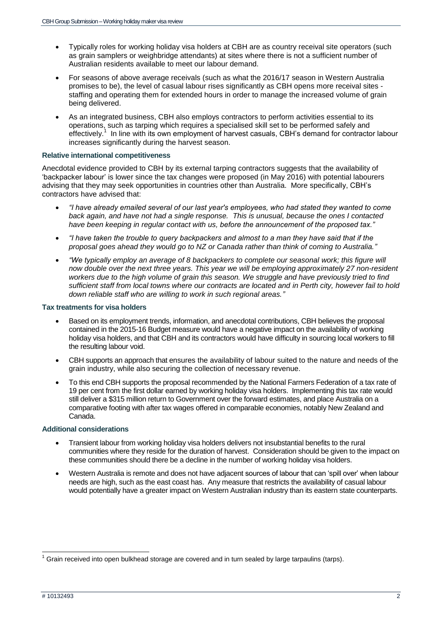- Typically roles for working holiday visa holders at CBH are as country receival site operators (such as grain samplers or weighbridge attendants) at sites where there is not a sufficient number of Australian residents available to meet our labour demand.
- For seasons of above average receivals (such as what the 2016/17 season in Western Australia promises to be), the level of casual labour rises significantly as CBH opens more receival sites staffing and operating them for extended hours in order to manage the increased volume of grain being delivered.
- As an integrated business, CBH also employs contractors to perform activities essential to its operations, such as tarping which requires a specialised skill set to be performed safely and effectively.<sup>1</sup> In line with its own employment of harvest casuals, CBH's demand for contractor labour increases significantly during the harvest season.

### **Relative international competitiveness**

Anecdotal evidence provided to CBH by its external tarping contractors suggests that the availability of 'backpacker labour' is lower since the tax changes were proposed (in May 2016) with potential labourers advising that they may seek opportunities in countries other than Australia. More specifically, CBH's contractors have advised that:

- *"I have already emailed several of our last year's employees, who had stated they wanted to come back again, and have not had a single response. This is unusual, because the ones I contacted have been keeping in regular contact with us, before the announcement of the proposed tax."*
- *"I have taken the trouble to query backpackers and almost to a man they have said that if the proposal goes ahead they would go to NZ or Canada rather than think of coming to Australia."*
- *"We typically employ an average of 8 backpackers to complete our seasonal work; this figure will now double over the next three years. This year we will be employing approximately 27 non-resident workers due to the high volume of grain this season. We struggle and have previously tried to find sufficient staff from local towns where our contracts are located and in Perth city, however fail to hold down reliable staff who are willing to work in such regional areas."*

#### **Tax treatments for visa holders**

- Based on its employment trends, information, and anecdotal contributions, CBH believes the proposal contained in the 2015-16 Budget measure would have a negative impact on the availability of working holiday visa holders, and that CBH and its contractors would have difficulty in sourcing local workers to fill the resulting labour void.
- CBH supports an approach that ensures the availability of labour suited to the nature and needs of the grain industry, while also securing the collection of necessary revenue.
- To this end CBH supports the proposal recommended by the National Farmers Federation of a tax rate of 19 per cent from the first dollar earned by working holiday visa holders. Implementing this tax rate would still deliver a \$315 million return to Government over the forward estimates, and place Australia on a comparative footing with after tax wages offered in comparable economies, notably New Zealand and Canada.

#### **Additional considerations**

- Transient labour from working holiday visa holders delivers not insubstantial benefits to the rural communities where they reside for the duration of harvest. Consideration should be given to the impact on these communities should there be a decline in the number of working holiday visa holders.
- Western Australia is remote and does not have adjacent sources of labour that can 'spill over' when labour needs are high, such as the east coast has. Any measure that restricts the availability of casual labour would potentially have a greater impact on Western Australian industry than its eastern state counterparts.

 $\overline{\phantom{a}}$  $1$  Grain received into open bulkhead storage are covered and in turn sealed by large tarpaulins (tarps).